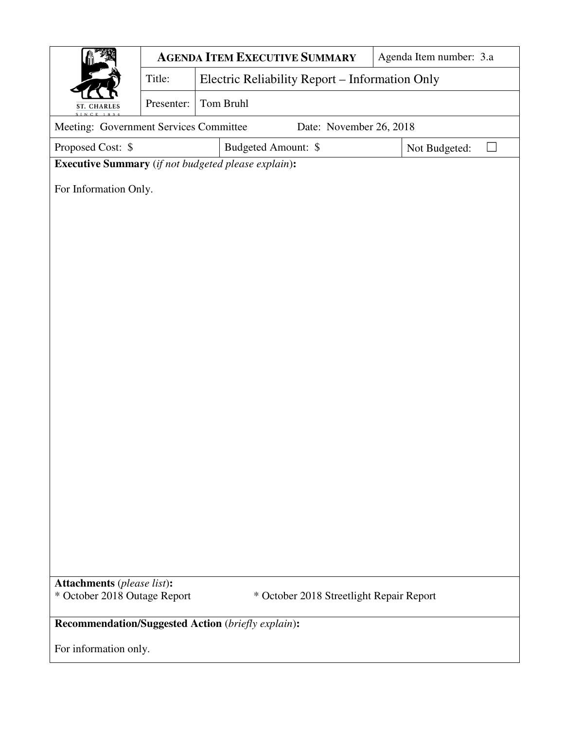|                                                                                                               | <b>AGENDA ITEM EXECUTIVE SUMMARY</b> |                                                |  |  | Agenda Item number: 3.a |  |  |  |
|---------------------------------------------------------------------------------------------------------------|--------------------------------------|------------------------------------------------|--|--|-------------------------|--|--|--|
|                                                                                                               | Title:                               | Electric Reliability Report - Information Only |  |  |                         |  |  |  |
| <b>ST. CHARLES</b>                                                                                            | Presenter:                           | Tom Bruhl                                      |  |  |                         |  |  |  |
| Meeting: Government Services Committee<br>Date: November 26, 2018                                             |                                      |                                                |  |  |                         |  |  |  |
| Proposed Cost: \$<br>Budgeted Amount: \$<br>Not Budgeted:                                                     |                                      |                                                |  |  |                         |  |  |  |
| <b>Executive Summary</b> (if not budgeted please explain):                                                    |                                      |                                                |  |  |                         |  |  |  |
| For Information Only.                                                                                         |                                      |                                                |  |  |                         |  |  |  |
|                                                                                                               |                                      |                                                |  |  |                         |  |  |  |
|                                                                                                               |                                      |                                                |  |  |                         |  |  |  |
|                                                                                                               |                                      |                                                |  |  |                         |  |  |  |
|                                                                                                               |                                      |                                                |  |  |                         |  |  |  |
|                                                                                                               |                                      |                                                |  |  |                         |  |  |  |
|                                                                                                               |                                      |                                                |  |  |                         |  |  |  |
|                                                                                                               |                                      |                                                |  |  |                         |  |  |  |
|                                                                                                               |                                      |                                                |  |  |                         |  |  |  |
|                                                                                                               |                                      |                                                |  |  |                         |  |  |  |
|                                                                                                               |                                      |                                                |  |  |                         |  |  |  |
|                                                                                                               |                                      |                                                |  |  |                         |  |  |  |
|                                                                                                               |                                      |                                                |  |  |                         |  |  |  |
|                                                                                                               |                                      |                                                |  |  |                         |  |  |  |
|                                                                                                               |                                      |                                                |  |  |                         |  |  |  |
|                                                                                                               |                                      |                                                |  |  |                         |  |  |  |
|                                                                                                               |                                      |                                                |  |  |                         |  |  |  |
|                                                                                                               |                                      |                                                |  |  |                         |  |  |  |
|                                                                                                               |                                      |                                                |  |  |                         |  |  |  |
| <b>Attachments</b> (please list):<br>* October 2018 Outage Report<br>* October 2018 Streetlight Repair Report |                                      |                                                |  |  |                         |  |  |  |
|                                                                                                               |                                      |                                                |  |  |                         |  |  |  |
| Recommendation/Suggested Action (briefly explain):                                                            |                                      |                                                |  |  |                         |  |  |  |
| For information only.                                                                                         |                                      |                                                |  |  |                         |  |  |  |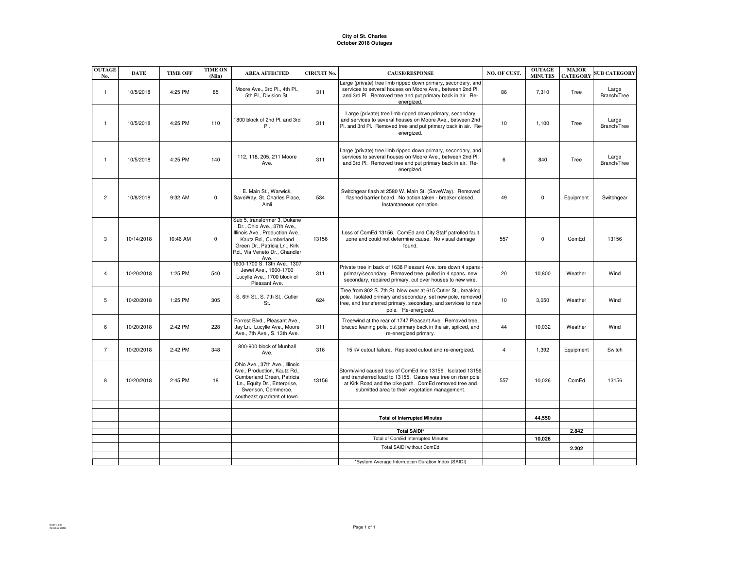## **City of St. CharlesOctober 2018 Outages**

| <b>OUTAGE</b><br>No. | <b>DATE</b> | <b>TIME OFF</b> | <b>TIME ON</b><br>(Min) | <b>AREA AFFECTED</b>                                                                                                                                                                             | <b>CIRCUIT No.</b> | <b>CAUSE/RESPONSE</b>                                                                                                                                                                                                                 | NO. OF CUST.   | <b>OUTAGE</b><br><b>MINUTES</b> | <b>MAJOR</b><br><b>CATEGORY</b> | <b>SUB CATEGORY</b>  |
|----------------------|-------------|-----------------|-------------------------|--------------------------------------------------------------------------------------------------------------------------------------------------------------------------------------------------|--------------------|---------------------------------------------------------------------------------------------------------------------------------------------------------------------------------------------------------------------------------------|----------------|---------------------------------|---------------------------------|----------------------|
| $\mathbf{1}$         | 10/5/2018   | 4:25 PM         | 85                      | Moore Ave., 3rd Pl., 4th Pl.,<br>5th Pl., Division St.                                                                                                                                           | 311                | Large (private) tree limb ripped down primary, secondary, and<br>services to several houses on Moore Ave., between 2nd Pl.<br>and 3rd Pl. Removed tree and put primary back in air. Re-<br>energized.                                 | 86             | 7,310                           | Tree                            | Large<br>Branch/Tree |
| $\mathbf{1}$         | 10/5/2018   | 4:25 PM         | 110                     | 1800 block of 2nd Pl. and 3rd<br>PI.                                                                                                                                                             | 311                | Large (private) tree limb ripped down primary, secondary,<br>and services to several houses on Moore Ave., between 2nd<br>Pl. and 3rd Pl. Removed tree and put primary back in air. Re-<br>energized.                                 | 10             | 1,100                           | Tree                            | Large<br>Branch/Tree |
| $\mathbf{1}$         | 10/5/2018   | 4:25 PM         | 140                     | 112, 118, 205, 211 Moore<br>Ave.                                                                                                                                                                 | 311                | Large (private) tree limb ripped down primary, secondary, and<br>services to several houses on Moore Ave., between 2nd Pl.<br>and 3rd Pl. Removed tree and put primary back in air. Re-<br>energized.                                 | 6              | 840                             | Tree                            | Large<br>Branch/Tree |
| $\overline{2}$       | 10/8/2018   | 9:32 AM         | $\mathbf 0$             | E. Main St., Warwick,<br>SaveWay, St. Charles Place,<br>Amli                                                                                                                                     | 534                | Switchgear flash at 2580 W. Main St. (SaveWay). Removed<br>flashed barrier board. No action taken - breaker closed.<br>Instantaneous operation.                                                                                       | 49             | $\mathbf 0$                     | Equipment                       | Switchgear           |
| 3                    | 10/14/2018  | 10:46 AM        | 0                       | Sub 5, transformer 3, Dukane<br>Dr., Ohio Ave., 37th Ave.,<br>Illinois Ave., Production Ave.,<br>Kautz Rd., Cumberland<br>Green Dr., Patricia Ln., Kirk<br>Rd., Via Veneto Dr., Chandler<br>Ave. | 13156              | Loss of ComEd 13156. ComEd and City Staff patrolled fault<br>zone and could not determine cause. No visual damage<br>found.                                                                                                           | 557            | $\mathbf 0$                     | ComEd                           | 13156                |
| $\overline{4}$       | 10/20/2018  | 1:25 PM         | 540                     | 1600-1700 S. 13th Ave., 1307<br>Jewel Ave., 1600-1700<br>Lucylle Ave., 1700 block of<br>Pleasant Ave.                                                                                            | 311                | Private tree in back of 1638 Pleasant Ave. tore down 4 spans<br>primary/secondary. Removed tree, pulled in 4 spans, new<br>secondary, repaired primary, cut over houses to new wire.                                                  | 20             | 10,800                          | Weather                         | Wind                 |
| 5                    | 10/20/2018  | 1:25 PM         | 305                     | S. 6th St., S. 7th St., Cutler<br>St.                                                                                                                                                            | 624                | Tree from 802 S. 7th St. blew over at 615 Cutler St., breaking<br>pole. Isolated primary and secondary, set new pole, removed<br>tree, and transferred primary, secondary, and services to new<br>pole. Re-energized.                 | 10             | 3.050                           | Weather                         | Wind                 |
| 6                    | 10/20/2018  | 2:42 PM         | 228                     | Forrest Blvd., Pleasant Ave.,<br>Jay Ln., Lucylle Ave., Moore<br>Ave., 7th Ave., S. 13th Ave.                                                                                                    | 311                | Tree/wind at the rear of 1747 Pleasant Ave. Removed tree,<br>braced leaning pole, put primary back in the air, spliced, and<br>re-energized primary.                                                                                  | 44             | 10,032                          | Weather                         | Wind                 |
| $\overline{7}$       | 10/20/2018  | 2:42 PM         | 348                     | 800-900 block of Munhall<br>Ave.                                                                                                                                                                 | 316                | 15 kV cutout failure. Replaced cutout and re-energized.                                                                                                                                                                               | $\overline{4}$ | 1,392                           | Equipment                       | Switch               |
| 8                    | 10/20/2018  | 2:45 PM         | 18                      | Ohio Ave., 37th Ave., Illinois<br>Ave., Production, Kautz Rd.,<br>Cumberland Green, Patricia<br>Ln., Equity Dr., Enterprise,<br>Swenson, Commerce,<br>southeast quadrant of town.                | 13156              | Storm/wind caused loss of ComEd line 13156. Isolated 13156<br>and transferred load to 13155. Cause was tree on riser pole<br>at Kirk Road and the bike path. ComEd removed tree and<br>submitted area to their vegetation management. | 557            | 10,026                          | ComEd                           | 13156                |
|                      |             |                 |                         |                                                                                                                                                                                                  |                    |                                                                                                                                                                                                                                       |                |                                 |                                 |                      |
|                      |             |                 |                         |                                                                                                                                                                                                  |                    | <b>Total of Interrupted Minutes</b>                                                                                                                                                                                                   |                | 44,550                          |                                 |                      |
|                      |             |                 |                         |                                                                                                                                                                                                  |                    | <b>Total SAIDI*</b>                                                                                                                                                                                                                   |                |                                 | 2.842                           |                      |
|                      |             |                 |                         |                                                                                                                                                                                                  |                    | Total of ComEd Interrupted Minutes                                                                                                                                                                                                    |                | 10,026                          |                                 |                      |
|                      |             |                 |                         |                                                                                                                                                                                                  |                    | Total SAIDI without ComEd                                                                                                                                                                                                             |                |                                 | 2.202                           |                      |
|                      |             |                 |                         |                                                                                                                                                                                                  |                    |                                                                                                                                                                                                                                       |                |                                 |                                 |                      |
|                      |             |                 |                         |                                                                                                                                                                                                  |                    | *System Average Interruption Duration Index (SAIDI)                                                                                                                                                                                   |                |                                 |                                 |                      |